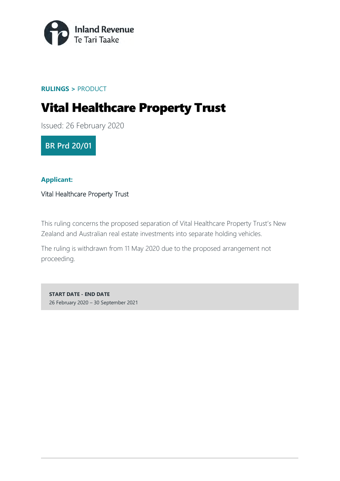

#### **RULINGS >** PRODUCT

# Vital Healthcare Property Trust

Issued: 26 February 2020

**BR Prd 20/01**

#### **Applicant:**

Vital Healthcare Property Trust

This ruling concerns the proposed separation of Vital Healthcare Property Trust's New Zealand and Australian real estate investments into separate holding vehicles.

The ruling is withdrawn from 11 May 2020 due to the proposed arrangement not proceeding.

**START DATE - END DATE** 26 February 2020 – 30 September 2021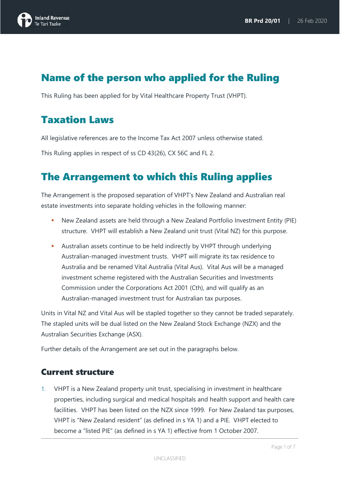

### Name of the person who applied for the Ruling

This Ruling has been applied for by Vital Healthcare Property Trust (VHPT).

### Taxation Laws

All legislative references are to the Income Tax Act 2007 unless otherwise stated.

This Ruling applies in respect of ss CD 43(26), CX 56C and FL 2.

### The Arrangement to which this Ruling applies

The Arrangement is the proposed separation of VHPT's New Zealand and Australian real estate investments into separate holding vehicles in the following manner:

- New Zealand assets are held through a New Zealand Portfolio Investment Entity (PIE) structure. VHPT will establish a New Zealand unit trust (Vital NZ) for this purpose.
- Australian assets continue to be held indirectly by VHPT through underlying Australian-managed investment trusts. VHPT will migrate its tax residence to Australia and be renamed Vital Australia (Vital Aus). Vital Aus will be a managed investment scheme registered with the Australian Securities and Investments Commission under the Corporations Act 2001 (Cth), and will qualify as an Australian-managed investment trust for Australian tax purposes.

Units in Vital NZ and Vital Aus will be stapled together so they cannot be traded separately. The stapled units will be dual listed on the New Zealand Stock Exchange (NZX) and the Australian Securities Exchange (ASX).

Further details of the Arrangement are set out in the paragraphs below.

#### Current structure

1. VHPT is a New Zealand property unit trust, specialising in investment in healthcare properties, including surgical and medical hospitals and health support and health care facilities. VHPT has been listed on the NZX since 1999. For New Zealand tax purposes, VHPT is "New Zealand resident" (as defined in s YA 1) and a PIE. VHPT elected to become a "listed PIE" (as defined in s YA 1) effective from 1 October 2007.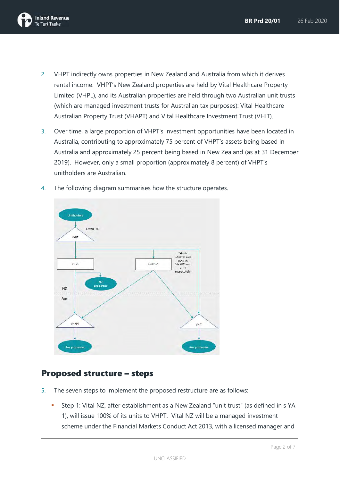

- 2. VHPT indirectly owns properties in New Zealand and Australia from which it derives rental income. VHPT's New Zealand properties are held by Vital Healthcare Property Limited (VHPL), and its Australian properties are held through two Australian unit trusts (which are managed investment trusts for Australian tax purposes): Vital Healthcare Australian Property Trust (VHAPT) and Vital Healthcare Investment Trust (VHIT).
- 3. Over time, a large proportion of VHPT's investment opportunities have been located in Australia, contributing to approximately 75 percent of VHPT's assets being based in Australia and approximately 25 percent being based in New Zealand (as at 31 December 2019). However, only a small proportion (approximately 8 percent) of VHPT's unitholders are Australian.
- 4. The following diagram summarises how the structure operates.



#### Proposed structure – steps

- 5. The seven steps to implement the proposed restructure are as follows:
	- Step 1: Vital NZ, after establishment as a New Zealand "unit trust" (as defined in s YA 1), will issue 100% of its units to VHPT. Vital NZ will be a managed investment scheme under the Financial Markets Conduct Act 2013, with a licensed manager and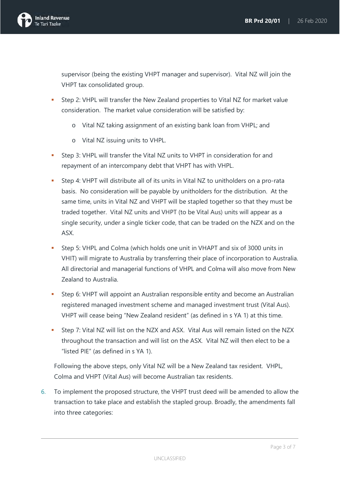

supervisor (being the existing VHPT manager and supervisor). Vital NZ will join the VHPT tax consolidated group.

- Step 2: VHPL will transfer the New Zealand properties to Vital NZ for market value consideration. The market value consideration will be satisfied by:
	- o Vital NZ taking assignment of an existing bank loan from VHPL; and
	- o Vital NZ issuing units to VHPL.
- Step 3: VHPL will transfer the Vital NZ units to VHPT in consideration for and repayment of an intercompany debt that VHPT has with VHPL.
- Step 4: VHPT will distribute all of its units in Vital NZ to unitholders on a pro-rata basis. No consideration will be payable by unitholders for the distribution. At the same time, units in Vital NZ and VHPT will be stapled together so that they must be traded together. Vital NZ units and VHPT (to be Vital Aus) units will appear as a single security, under a single ticker code, that can be traded on the NZX and on the ASX.
- Step 5: VHPL and Colma (which holds one unit in VHAPT and six of 3000 units in VHIT) will migrate to Australia by transferring their place of incorporation to Australia. All directorial and managerial functions of VHPL and Colma will also move from New Zealand to Australia.
- Step 6: VHPT will appoint an Australian responsible entity and become an Australian registered managed investment scheme and managed investment trust (Vital Aus). VHPT will cease being "New Zealand resident" (as defined in s YA 1) at this time.
- Step 7: Vital NZ will list on the NZX and ASX. Vital Aus will remain listed on the NZX throughout the transaction and will list on the ASX. Vital NZ will then elect to be a "listed PIE" (as defined in s YA 1).

Following the above steps, only Vital NZ will be a New Zealand tax resident. VHPL, Colma and VHPT (Vital Aus) will become Australian tax residents.

6. To implement the proposed structure, the VHPT trust deed will be amended to allow the transaction to take place and establish the stapled group. Broadly, the amendments fall into three categories: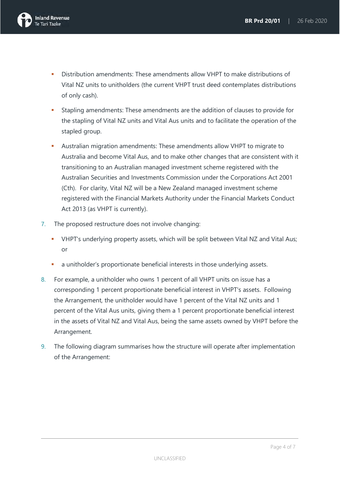

- Distribution amendments: These amendments allow VHPT to make distributions of Vital NZ units to unitholders (the current VHPT trust deed contemplates distributions of only cash).
- Stapling amendments: These amendments are the addition of clauses to provide for the stapling of Vital NZ units and Vital Aus units and to facilitate the operation of the stapled group.
- Australian migration amendments: These amendments allow VHPT to migrate to Australia and become Vital Aus, and to make other changes that are consistent with it transitioning to an Australian managed investment scheme registered with the Australian Securities and Investments Commission under the Corporations Act 2001 (Cth). For clarity, Vital NZ will be a New Zealand managed investment scheme registered with the Financial Markets Authority under the Financial Markets Conduct Act 2013 (as VHPT is currently).
- 7. The proposed restructure does not involve changing:
	- VHPT's underlying property assets, which will be split between Vital NZ and Vital Aus; or
	- **a** a unitholder's proportionate beneficial interests in those underlying assets.
- 8. For example, a unitholder who owns 1 percent of all VHPT units on issue has a corresponding 1 percent proportionate beneficial interest in VHPT's assets. Following the Arrangement, the unitholder would have 1 percent of the Vital NZ units and 1 percent of the Vital Aus units, giving them a 1 percent proportionate beneficial interest in the assets of Vital NZ and Vital Aus, being the same assets owned by VHPT before the Arrangement.
- 9. The following diagram summarises how the structure will operate after implementation of the Arrangement: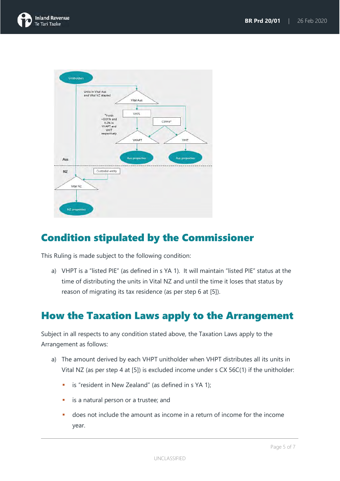



# Condition stipulated by the Commissioner

This Ruling is made subject to the following condition:

a) VHPT is a "listed PIE" (as defined in s YA 1). It will maintain "listed PIE" status at the time of distributing the units in Vital NZ and until the time it loses that status by reason of migrating its tax residence (as per step 6 at [5]).

### How the Taxation Laws apply to the Arrangement

Subject in all respects to any condition stated above, the Taxation Laws apply to the Arrangement as follows:

- a) The amount derived by each VHPT unitholder when VHPT distributes all its units in Vital NZ (as per step 4 at [5]) is excluded income under s CX 56C(1) if the unitholder:
	- **i** is "resident in New Zealand" (as defined in s YA 1);
	- **i** is a natural person or a trustee; and
	- does not include the amount as income in a return of income for the income year.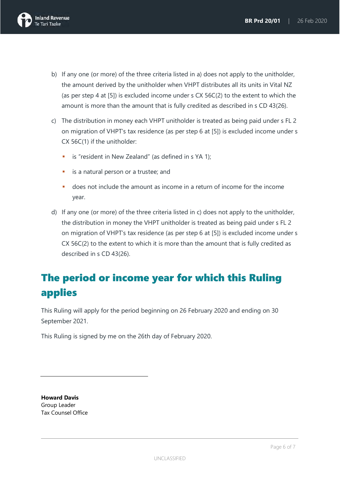

- b) If any one (or more) of the three criteria listed in a) does not apply to the unitholder, the amount derived by the unitholder when VHPT distributes all its units in Vital NZ (as per step 4 at [5]) is excluded income under s CX 56C(2) to the extent to which the amount is more than the amount that is fully credited as described in s CD 43(26).
- c) The distribution in money each VHPT unitholder is treated as being paid under s FL 2 on migration of VHPT's tax residence (as per step 6 at [5]) is excluded income under s CX 56C(1) if the unitholder:
	- **i** is "resident in New Zealand" (as defined in s YA 1);
	- is a natural person or a trustee; and
	- does not include the amount as income in a return of income for the income year.
- d) If any one (or more) of the three criteria listed in c) does not apply to the unitholder, the distribution in money the VHPT unitholder is treated as being paid under s FL 2 on migration of VHPT's tax residence (as per step 6 at [5]) is excluded income under s CX 56C(2) to the extent to which it is more than the amount that is fully credited as described in s CD 43(26).

# The period or income year for which this Ruling applies

This Ruling will apply for the period beginning on 26 February 2020 and ending on 30 September 2021.

This Ruling is signed by me on the 26th day of February 2020.

**Howard Davis** Group Leader Tax Counsel Office